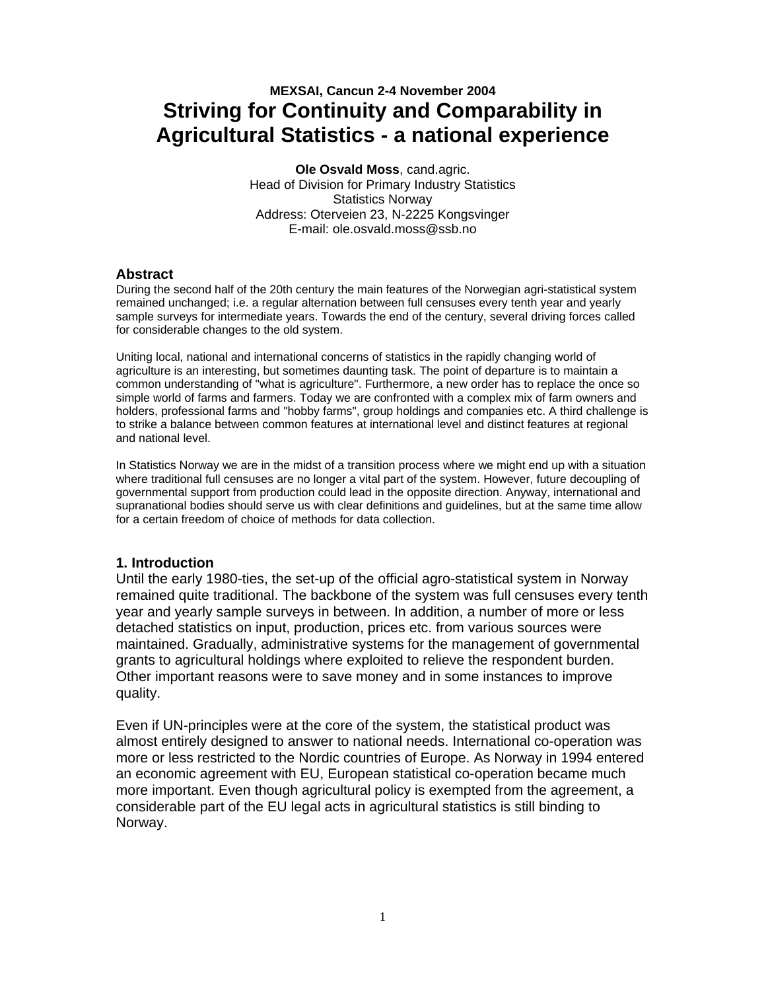# **MEXSAI, Cancun 2-4 November 2004 Striving for Continuity and Comparability in Agricultural Statistics - a national experience**

**Ole Osvald Moss**, cand.agric. Head of Division for Primary Industry Statistics Statistics Norway Address: Oterveien 23, N-2225 Kongsvinger E-mail: ole.osvald.moss@ssb.no

### **Abstract**

During the second half of the 20th century the main features of the Norwegian agri-statistical system remained unchanged; i.e. a regular alternation between full censuses every tenth year and yearly sample surveys for intermediate years. Towards the end of the century, several driving forces called for considerable changes to the old system.

Uniting local, national and international concerns of statistics in the rapidly changing world of agriculture is an interesting, but sometimes daunting task. The point of departure is to maintain a common understanding of "what is agriculture". Furthermore, a new order has to replace the once so simple world of farms and farmers. Today we are confronted with a complex mix of farm owners and holders, professional farms and "hobby farms", group holdings and companies etc. A third challenge is to strike a balance between common features at international level and distinct features at regional and national level.

In Statistics Norway we are in the midst of a transition process where we might end up with a situation where traditional full censuses are no longer a vital part of the system. However, future decoupling of governmental support from production could lead in the opposite direction. Anyway, international and supranational bodies should serve us with clear definitions and guidelines, but at the same time allow for a certain freedom of choice of methods for data collection.

### **1. Introduction**

Until the early 1980-ties, the set-up of the official agro-statistical system in Norway remained quite traditional. The backbone of the system was full censuses every tenth year and yearly sample surveys in between. In addition, a number of more or less detached statistics on input, production, prices etc. from various sources were maintained. Gradually, administrative systems for the management of governmental grants to agricultural holdings where exploited to relieve the respondent burden. Other important reasons were to save money and in some instances to improve quality.

Even if UN-principles were at the core of the system, the statistical product was almost entirely designed to answer to national needs. International co-operation was more or less restricted to the Nordic countries of Europe. As Norway in 1994 entered an economic agreement with EU, European statistical co-operation became much more important. Even though agricultural policy is exempted from the agreement, a considerable part of the EU legal acts in agricultural statistics is still binding to Norway.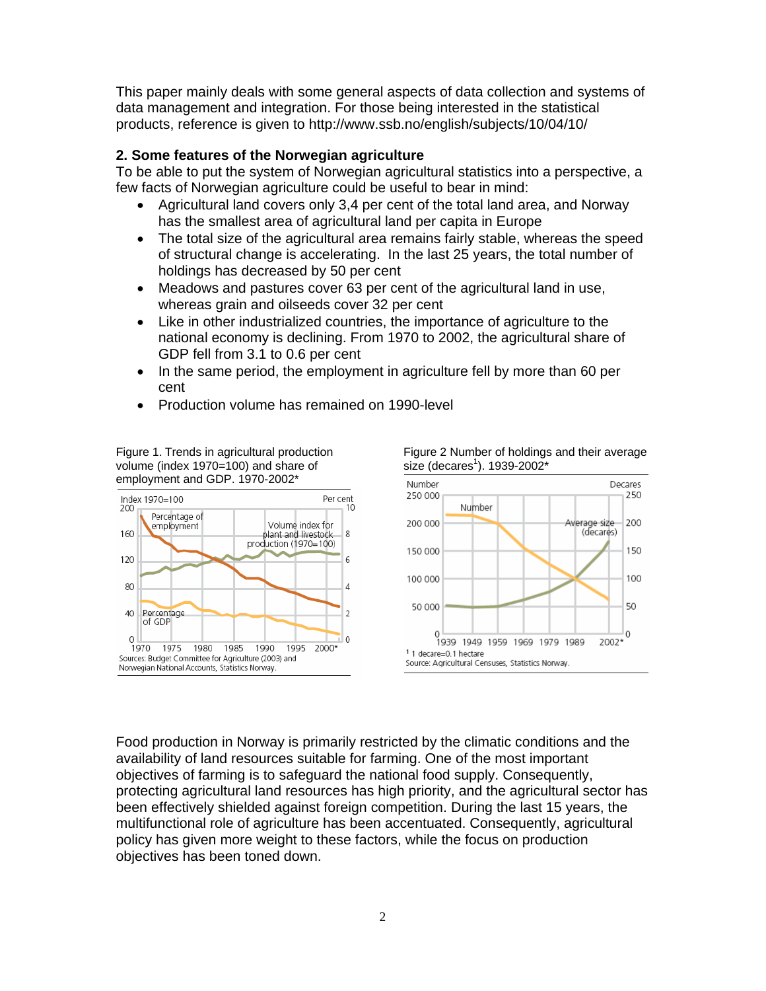This paper mainly deals with some general aspects of data collection and systems of data management and integration. For those being interested in the statistical products, reference is given to http://www.ssb.no/english/subjects/10/04/10/

### **2. Some features of the Norwegian agriculture**

To be able to put the system of Norwegian agricultural statistics into a perspective, a few facts of Norwegian agriculture could be useful to bear in mind:

- Agricultural land covers only 3,4 per cent of the total land area, and Norway has the smallest area of agricultural land per capita in Europe
- The total size of the agricultural area remains fairly stable, whereas the speed of structural change is accelerating. In the last 25 years, the total number of holdings has decreased by 50 per cent
- Meadows and pastures cover 63 per cent of the agricultural land in use, whereas grain and oilseeds cover 32 per cent
- Like in other industrialized countries, the importance of agriculture to the national economy is declining. From 1970 to 2002, the agricultural share of GDP fell from 3.1 to 0.6 per cent
- In the same period, the employment in agriculture fell by more than 60 per cent
- Production volume has remained on 1990-level

Figure 1. Trends in agricultural production volume (index 1970=100) and share of employment and GDP. 1970-2002\*





Food production in Norway is primarily restricted by the climatic conditions and the availability of land resources suitable for farming. One of the most important objectives of farming is to safeguard the national food supply. Consequently, protecting agricultural land resources has high priority, and the agricultural sector has been effectively shielded against foreign competition. During the last 15 years, the multifunctional role of agriculture has been accentuated. Consequently, agricultural policy has given more weight to these factors, while the focus on production objectives has been toned down.

Figure 2 Number of holdings and their average size (decares $^1$ ). 1939-2002\*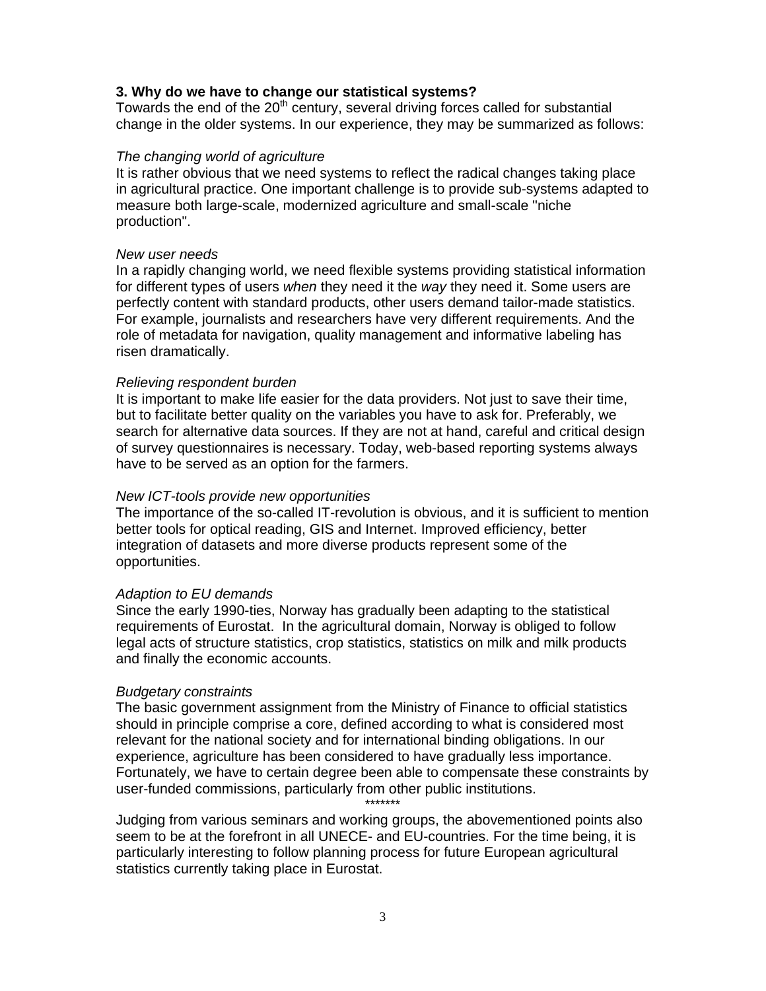### **3. Why do we have to change our statistical systems?**

Towards the end of the 20<sup>th</sup> century, several driving forces called for substantial change in the older systems. In our experience, they may be summarized as follows:

#### *The changing world of agriculture*

It is rather obvious that we need systems to reflect the radical changes taking place in agricultural practice. One important challenge is to provide sub-systems adapted to measure both large-scale, modernized agriculture and small-scale "niche production".

#### *New user needs*

In a rapidly changing world, we need flexible systems providing statistical information for different types of users *when* they need it the *way* they need it. Some users are perfectly content with standard products, other users demand tailor-made statistics. For example, journalists and researchers have very different requirements. And the role of metadata for navigation, quality management and informative labeling has risen dramatically.

#### *Relieving respondent burden*

It is important to make life easier for the data providers. Not just to save their time, but to facilitate better quality on the variables you have to ask for. Preferably, we search for alternative data sources. If they are not at hand, careful and critical design of survey questionnaires is necessary. Today, web-based reporting systems always have to be served as an option for the farmers.

#### *New ICT-tools provide new opportunities*

The importance of the so-called IT-revolution is obvious, and it is sufficient to mention better tools for optical reading, GIS and Internet. Improved efficiency, better integration of datasets and more diverse products represent some of the opportunities.

#### *Adaption to EU demands*

Since the early 1990-ties, Norway has gradually been adapting to the statistical requirements of Eurostat. In the agricultural domain, Norway is obliged to follow legal acts of structure statistics, crop statistics, statistics on milk and milk products and finally the economic accounts.

#### *Budgetary constraints*

The basic government assignment from the Ministry of Finance to official statistics should in principle comprise a core, defined according to what is considered most relevant for the national society and for international binding obligations. In our experience, agriculture has been considered to have gradually less importance. Fortunately, we have to certain degree been able to compensate these constraints by user-funded commissions, particularly from other public institutions.

\*\*\*\*\*\*\*

Judging from various seminars and working groups, the abovementioned points also seem to be at the forefront in all UNECE- and EU-countries. For the time being, it is particularly interesting to follow planning process for future European agricultural statistics currently taking place in Eurostat.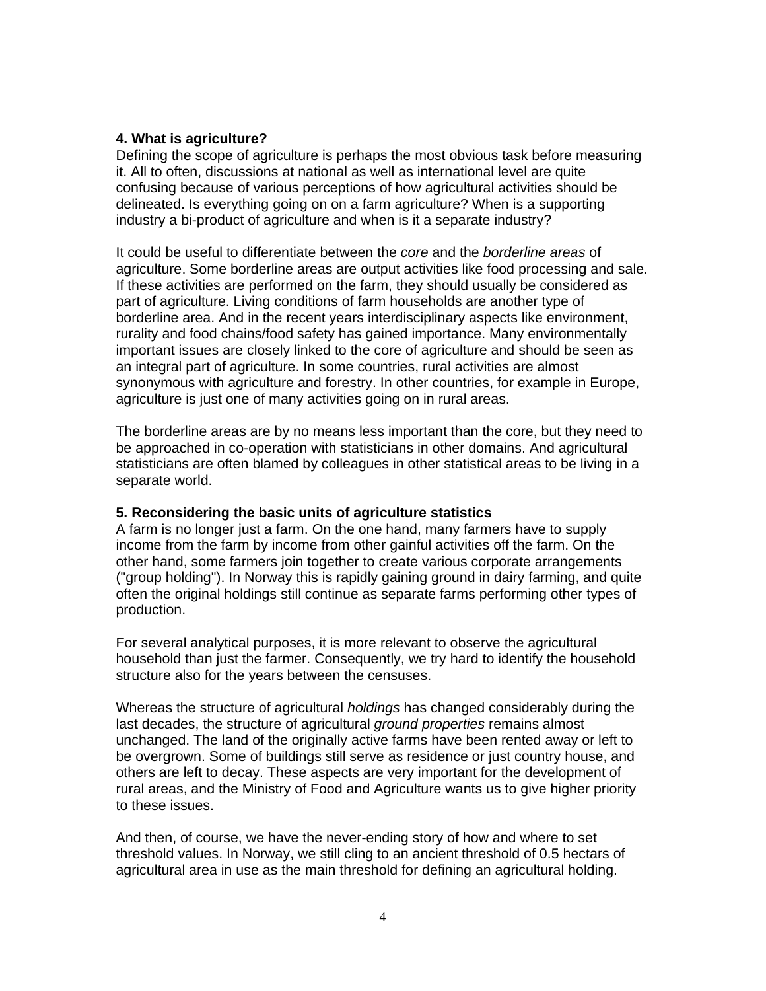# **4. What is agriculture?**

Defining the scope of agriculture is perhaps the most obvious task before measuring it. All to often, discussions at national as well as international level are quite confusing because of various perceptions of how agricultural activities should be delineated. Is everything going on on a farm agriculture? When is a supporting industry a bi-product of agriculture and when is it a separate industry?

It could be useful to differentiate between the *core* and the *borderline areas* of agriculture. Some borderline areas are output activities like food processing and sale. If these activities are performed on the farm, they should usually be considered as part of agriculture. Living conditions of farm households are another type of borderline area. And in the recent years interdisciplinary aspects like environment, rurality and food chains/food safety has gained importance. Many environmentally important issues are closely linked to the core of agriculture and should be seen as an integral part of agriculture. In some countries, rural activities are almost synonymous with agriculture and forestry. In other countries, for example in Europe, agriculture is just one of many activities going on in rural areas.

The borderline areas are by no means less important than the core, but they need to be approached in co-operation with statisticians in other domains. And agricultural statisticians are often blamed by colleagues in other statistical areas to be living in a separate world.

# **5. Reconsidering the basic units of agriculture statistics**

A farm is no longer just a farm. On the one hand, many farmers have to supply income from the farm by income from other gainful activities off the farm. On the other hand, some farmers join together to create various corporate arrangements ("group holding"). In Norway this is rapidly gaining ground in dairy farming, and quite often the original holdings still continue as separate farms performing other types of production.

For several analytical purposes, it is more relevant to observe the agricultural household than just the farmer. Consequently, we try hard to identify the household structure also for the years between the censuses.

Whereas the structure of agricultural *holdings* has changed considerably during the last decades, the structure of agricultural *ground properties* remains almost unchanged. The land of the originally active farms have been rented away or left to be overgrown. Some of buildings still serve as residence or just country house, and others are left to decay. These aspects are very important for the development of rural areas, and the Ministry of Food and Agriculture wants us to give higher priority to these issues.

And then, of course, we have the never-ending story of how and where to set threshold values. In Norway, we still cling to an ancient threshold of 0.5 hectars of agricultural area in use as the main threshold for defining an agricultural holding.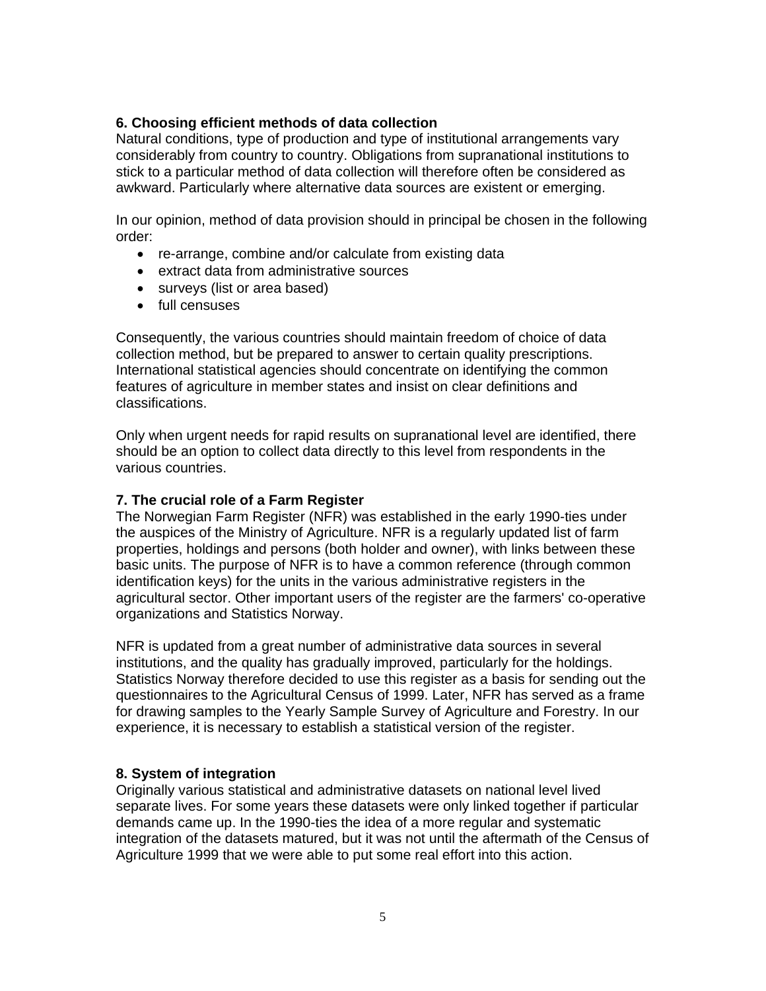# **6. Choosing efficient methods of data collection**

Natural conditions, type of production and type of institutional arrangements vary considerably from country to country. Obligations from supranational institutions to stick to a particular method of data collection will therefore often be considered as awkward. Particularly where alternative data sources are existent or emerging.

In our opinion, method of data provision should in principal be chosen in the following order:

- re-arrange, combine and/or calculate from existing data
- extract data from administrative sources
- surveys (list or area based)
- full censuses

Consequently, the various countries should maintain freedom of choice of data collection method, but be prepared to answer to certain quality prescriptions. International statistical agencies should concentrate on identifying the common features of agriculture in member states and insist on clear definitions and classifications.

Only when urgent needs for rapid results on supranational level are identified, there should be an option to collect data directly to this level from respondents in the various countries.

### **7. The crucial role of a Farm Register**

The Norwegian Farm Register (NFR) was established in the early 1990-ties under the auspices of the Ministry of Agriculture. NFR is a regularly updated list of farm properties, holdings and persons (both holder and owner), with links between these basic units. The purpose of NFR is to have a common reference (through common identification keys) for the units in the various administrative registers in the agricultural sector. Other important users of the register are the farmers' co-operative organizations and Statistics Norway.

NFR is updated from a great number of administrative data sources in several institutions, and the quality has gradually improved, particularly for the holdings. Statistics Norway therefore decided to use this register as a basis for sending out the questionnaires to the Agricultural Census of 1999. Later, NFR has served as a frame for drawing samples to the Yearly Sample Survey of Agriculture and Forestry. In our experience, it is necessary to establish a statistical version of the register.

# **8. System of integration**

Originally various statistical and administrative datasets on national level lived separate lives. For some years these datasets were only linked together if particular demands came up. In the 1990-ties the idea of a more regular and systematic integration of the datasets matured, but it was not until the aftermath of the Census of Agriculture 1999 that we were able to put some real effort into this action.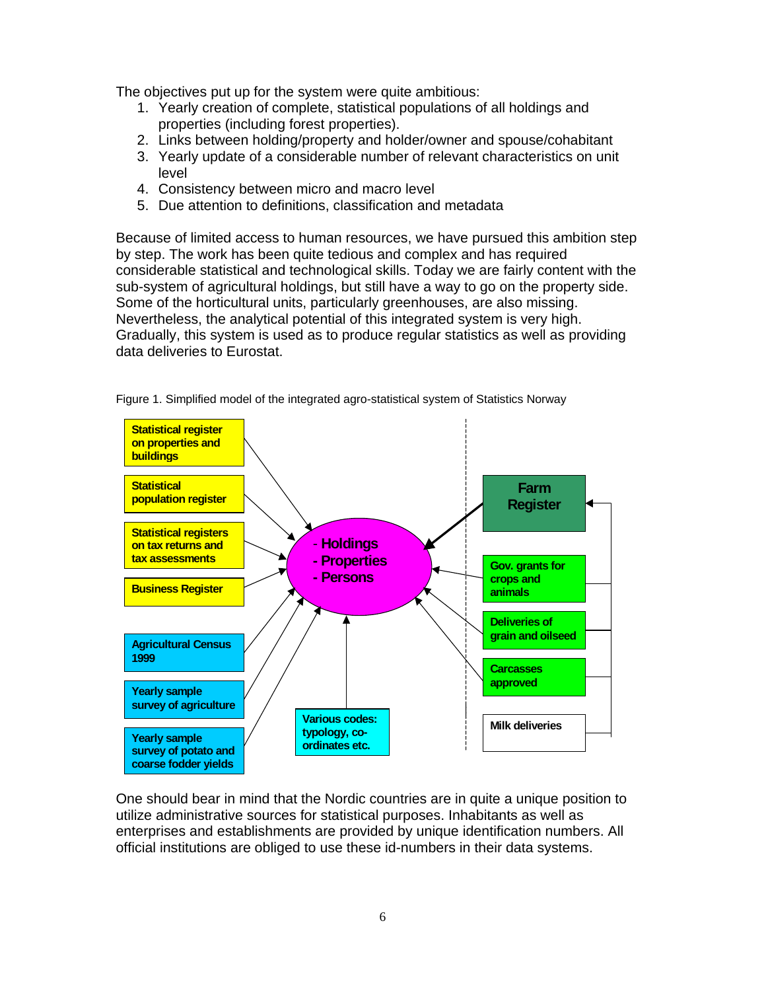The objectives put up for the system were quite ambitious:

- 1. Yearly creation of complete, statistical populations of all holdings and properties (including forest properties).
- 2. Links between holding/property and holder/owner and spouse/cohabitant
- 3. Yearly update of a considerable number of relevant characteristics on unit level
- 4. Consistency between micro and macro level
- 5. Due attention to definitions, classification and metadata

Because of limited access to human resources, we have pursued this ambition step by step. The work has been quite tedious and complex and has required considerable statistical and technological skills. Today we are fairly content with the sub-system of agricultural holdings, but still have a way to go on the property side. Some of the horticultural units, particularly greenhouses, are also missing. Nevertheless, the analytical potential of this integrated system is very high. Gradually, this system is used as to produce regular statistics as well as providing data deliveries to Eurostat.



Figure 1. Simplified model of the integrated agro-statistical system of Statistics Norway

One should bear in mind that the Nordic countries are in quite a unique position to utilize administrative sources for statistical purposes. Inhabitants as well as enterprises and establishments are provided by unique identification numbers. All official institutions are obliged to use these id-numbers in their data systems.